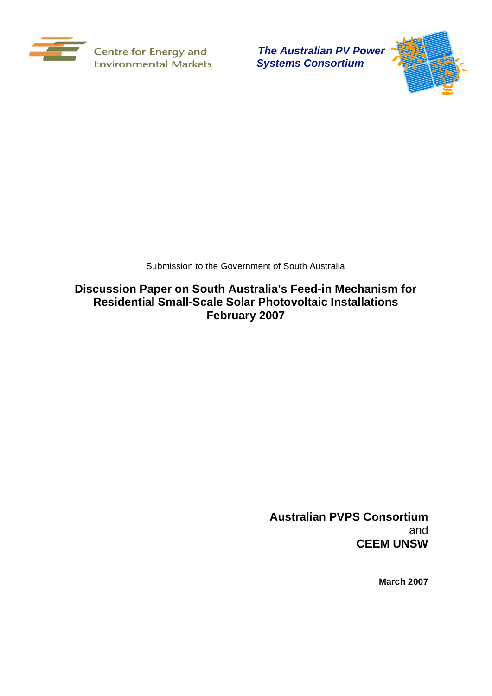

 *Systems Consortium*



Submission to the Government of South Australia

**Discussion Paper on South Australia's Feed-in Mechanism for Residential Small-Scale Solar Photovoltaic Installations February 2007** 

> **Australian PVPS Consortium**  and **CEEM UNSW**

> > **March 2007**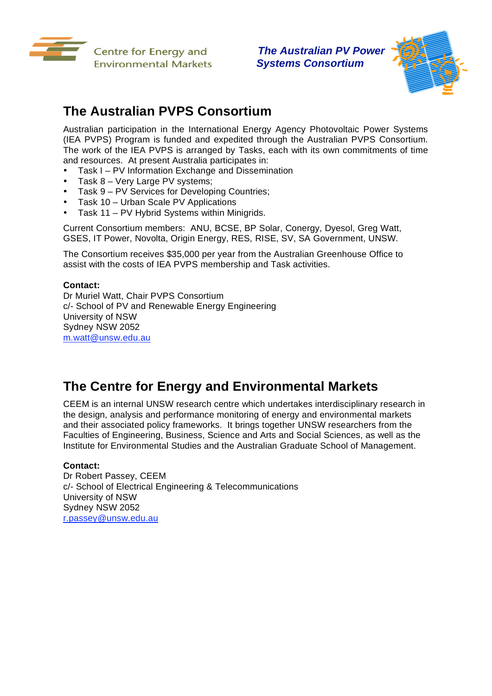



# **The Australian PVPS Consortium**

Australian participation in the International Energy Agency Photovoltaic Power Systems (IEA PVPS) Program is funded and expedited through the Australian PVPS Consortium. The work of the IEA PVPS is arranged by Tasks, each with its own commitments of time and resources. At present Australia participates in:

- Task I PV Information Exchange and Dissemination
- Task 8 Very Large PV systems;
- Task 9 PV Services for Developing Countries;
- Task 10 Urban Scale PV Applications
- Task 11 PV Hybrid Systems within Minigrids.

Current Consortium members: ANU, BCSE, BP Solar, Conergy, Dyesol, Greg Watt, GSES, IT Power, Novolta, Origin Energy, RES, RISE, SV, SA Government, UNSW.

The Consortium receives \$35,000 per year from the Australian Greenhouse Office to assist with the costs of IEA PVPS membership and Task activities.

#### **Contact:**

Dr Muriel Watt, Chair PVPS Consortium c/- School of PV and Renewable Energy Engineering University of NSW Sydney NSW 2052 m.watt@unsw.edu.au

# **The Centre for Energy and Environmental Markets**

CEEM is an internal UNSW research centre which undertakes interdisciplinary research in the design, analysis and performance monitoring of energy and environmental markets and their associated policy frameworks. It brings together UNSW researchers from the Faculties of Engineering, Business, Science and Arts and Social Sciences, as well as the Institute for Environmental Studies and the Australian Graduate School of Management.

#### **Contact:**

Dr Robert Passey, CEEM c/- School of Electrical Engineering & Telecommunications University of NSW Sydney NSW 2052 r.passey@unsw.edu.au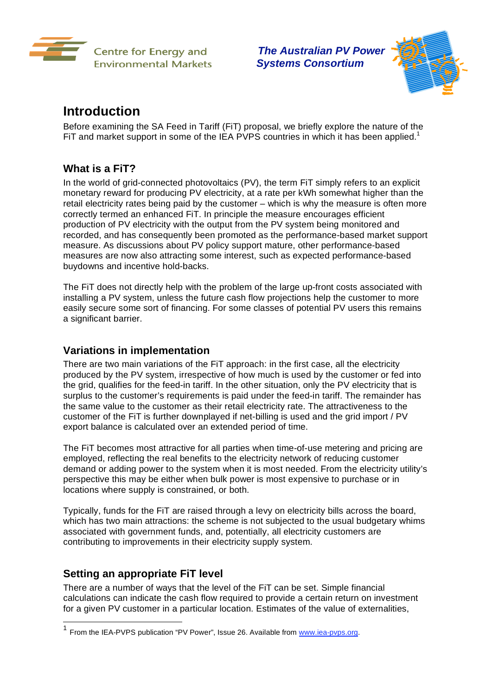



## **Introduction**

Before examining the SA Feed in Tariff (FiT) proposal, we briefly explore the nature of the FIT and market support in some of the IEA PVPS countries in which it has been applied.<sup>1</sup>

### **What is a FiT?**

In the world of grid-connected photovoltaics (PV), the term FiT simply refers to an explicit monetary reward for producing PV electricity, at a rate per kWh somewhat higher than the retail electricity rates being paid by the customer – which is why the measure is often more correctly termed an enhanced FiT. In principle the measure encourages efficient production of PV electricity with the output from the PV system being monitored and recorded, and has consequently been promoted as the performance-based market support measure. As discussions about PV policy support mature, other performance-based measures are now also attracting some interest, such as expected performance-based buydowns and incentive hold-backs.

The FiT does not directly help with the problem of the large up-front costs associated with installing a PV system, unless the future cash flow projections help the customer to more easily secure some sort of financing. For some classes of potential PV users this remains a significant barrier.

### **Variations in implementation**

There are two main variations of the FiT approach: in the first case, all the electricity produced by the PV system, irrespective of how much is used by the customer or fed into the grid, qualifies for the feed-in tariff. In the other situation, only the PV electricity that is surplus to the customer's requirements is paid under the feed-in tariff. The remainder has the same value to the customer as their retail electricity rate. The attractiveness to the customer of the FiT is further downplayed if net-billing is used and the grid import / PV export balance is calculated over an extended period of time.

The FiT becomes most attractive for all parties when time-of-use metering and pricing are employed, reflecting the real benefits to the electricity network of reducing customer demand or adding power to the system when it is most needed. From the electricity utility's perspective this may be either when bulk power is most expensive to purchase or in locations where supply is constrained, or both.

Typically, funds for the FiT are raised through a levy on electricity bills across the board, which has two main attractions: the scheme is not subjected to the usual budgetary whims associated with government funds, and, potentially, all electricity customers are contributing to improvements in their electricity supply system.

### **Setting an appropriate FiT level**

1

There are a number of ways that the level of the FiT can be set. Simple financial calculations can indicate the cash flow required to provide a certain return on investment for a given PV customer in a particular location. Estimates of the value of externalities,

From the IEA-PVPS publication "PV Power", Issue 26. Available from www.iea-pvps.org.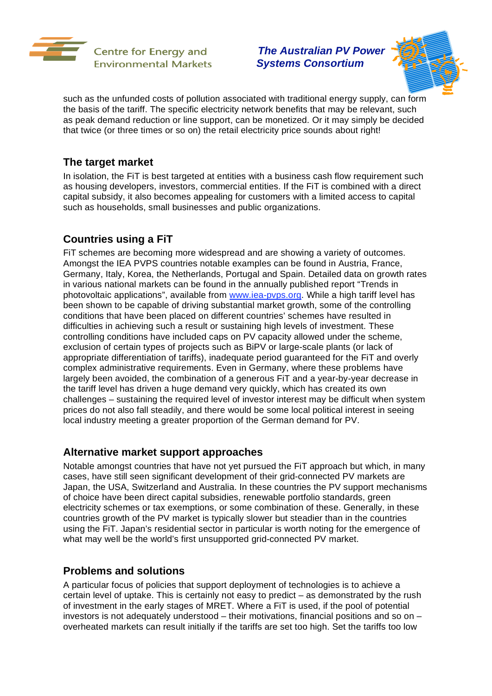



such as the unfunded costs of pollution associated with traditional energy supply, can form the basis of the tariff. The specific electricity network benefits that may be relevant, such as peak demand reduction or line support, can be monetized. Or it may simply be decided that twice (or three times or so on) the retail electricity price sounds about right!

### **The target market**

In isolation, the FiT is best targeted at entities with a business cash flow requirement such as housing developers, investors, commercial entities. If the FiT is combined with a direct capital subsidy, it also becomes appealing for customers with a limited access to capital such as households, small businesses and public organizations.

### **Countries using a FiT**

FiT schemes are becoming more widespread and are showing a variety of outcomes. Amongst the IEA PVPS countries notable examples can be found in Austria, France, Germany, Italy, Korea, the Netherlands, Portugal and Spain. Detailed data on growth rates in various national markets can be found in the annually published report "Trends in photovoltaic applications", available from www.iea-pvps.org. While a high tariff level has been shown to be capable of driving substantial market growth, some of the controlling conditions that have been placed on different countries' schemes have resulted in difficulties in achieving such a result or sustaining high levels of investment. These controlling conditions have included caps on PV capacity allowed under the scheme, exclusion of certain types of projects such as BiPV or large-scale plants (or lack of appropriate differentiation of tariffs), inadequate period guaranteed for the FiT and overly complex administrative requirements. Even in Germany, where these problems have largely been avoided, the combination of a generous FiT and a year-by-year decrease in the tariff level has driven a huge demand very quickly, which has created its own challenges – sustaining the required level of investor interest may be difficult when system prices do not also fall steadily, and there would be some local political interest in seeing local industry meeting a greater proportion of the German demand for PV.

### **Alternative market support approaches**

Notable amongst countries that have not yet pursued the FiT approach but which, in many cases, have still seen significant development of their grid-connected PV markets are Japan, the USA, Switzerland and Australia. In these countries the PV support mechanisms of choice have been direct capital subsidies, renewable portfolio standards, green electricity schemes or tax exemptions, or some combination of these. Generally, in these countries growth of the PV market is typically slower but steadier than in the countries using the FiT. Japan's residential sector in particular is worth noting for the emergence of what may well be the world's first unsupported grid-connected PV market.

### **Problems and solutions**

A particular focus of policies that support deployment of technologies is to achieve a certain level of uptake. This is certainly not easy to predict – as demonstrated by the rush of investment in the early stages of MRET. Where a FiT is used, if the pool of potential investors is not adequately understood – their motivations, financial positions and so on – overheated markets can result initially if the tariffs are set too high. Set the tariffs too low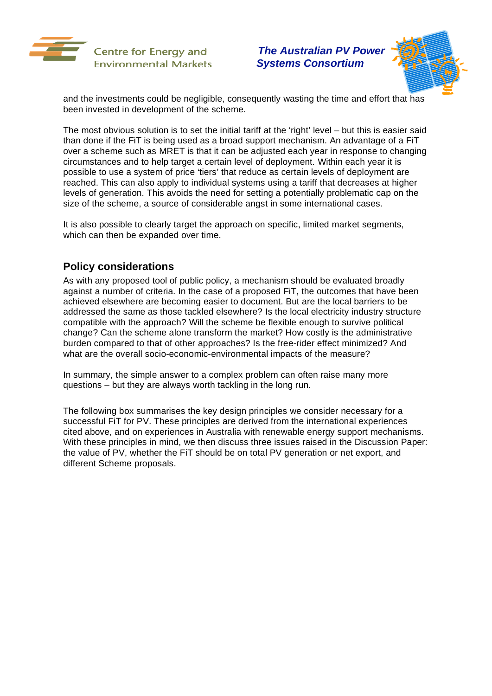



and the investments could be negligible, consequently wasting the time and effort that has been invested in development of the scheme.

The most obvious solution is to set the initial tariff at the 'right' level – but this is easier said than done if the FiT is being used as a broad support mechanism. An advantage of a FiT over a scheme such as MRET is that it can be adjusted each year in response to changing circumstances and to help target a certain level of deployment. Within each year it is possible to use a system of price 'tiers' that reduce as certain levels of deployment are reached. This can also apply to individual systems using a tariff that decreases at higher levels of generation. This avoids the need for setting a potentially problematic cap on the size of the scheme, a source of considerable angst in some international cases.

It is also possible to clearly target the approach on specific, limited market segments, which can then be expanded over time.

### **Policy considerations**

As with any proposed tool of public policy, a mechanism should be evaluated broadly against a number of criteria. In the case of a proposed FiT, the outcomes that have been achieved elsewhere are becoming easier to document. But are the local barriers to be addressed the same as those tackled elsewhere? Is the local electricity industry structure compatible with the approach? Will the scheme be flexible enough to survive political change? Can the scheme alone transform the market? How costly is the administrative burden compared to that of other approaches? Is the free-rider effect minimized? And what are the overall socio-economic-environmental impacts of the measure?

In summary, the simple answer to a complex problem can often raise many more questions – but they are always worth tackling in the long run.

The following box summarises the key design principles we consider necessary for a successful FiT for PV. These principles are derived from the international experiences cited above, and on experiences in Australia with renewable energy support mechanisms. With these principles in mind, we then discuss three issues raised in the Discussion Paper: the value of PV, whether the FiT should be on total PV generation or net export, and different Scheme proposals.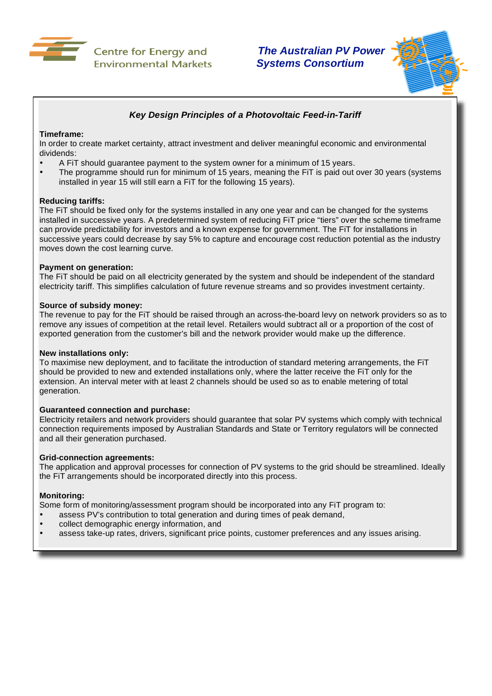

 *The Australian PV Power* 



### *Key Design Principles of a Photovoltaic Feed-in-Tariff*

#### **Timeframe:**

In order to create market certainty, attract investment and deliver meaningful economic and environmental dividends:

- A FiT should guarantee payment to the system owner for a minimum of 15 years.
- The programme should run for minimum of 15 years, meaning the FiT is paid out over 30 years (systems installed in year 15 will still earn a FiT for the following 15 years).

#### **Reducing tariffs:**

The FiT should be fixed only for the systems installed in any one year and can be changed for the systems installed in successive years. A predetermined system of reducing FiT price "tiers" over the scheme timeframe can provide predictability for investors and a known expense for government. The FiT for installations in successive years could decrease by say 5% to capture and encourage cost reduction potential as the industry moves down the cost learning curve.

#### **Payment on generation:**

The FiT should be paid on all electricity generated by the system and should be independent of the standard electricity tariff. This simplifies calculation of future revenue streams and so provides investment certainty.

#### **Source of subsidy money:**

The revenue to pay for the FiT should be raised through an across-the-board levy on network providers so as to remove any issues of competition at the retail level. Retailers would subtract all or a proportion of the cost of exported generation from the customer's bill and the network provider would make up the difference.

#### **New installations only:**

To maximise new deployment, and to facilitate the introduction of standard metering arrangements, the FiT should be provided to new and extended installations only, where the latter receive the FiT only for the extension. An interval meter with at least 2 channels should be used so as to enable metering of total generation.

#### **Guaranteed connection and purchase:**

Electricity retailers and network providers should guarantee that solar PV systems which comply with technical connection requirements imposed by Australian Standards and State or Territory regulators will be connected and all their generation purchased.

#### **Grid-connection agreements:**

The application and approval processes for connection of PV systems to the grid should be streamlined. Ideally the FiT arrangements should be incorporated directly into this process.

#### **Monitoring:**

Some form of monitoring/assessment program should be incorporated into any FiT program to:

- assess PV's contribution to total generation and during times of peak demand,
- collect demographic energy information, and
- assess take-up rates, drivers, significant price points, customer preferences and any issues arising.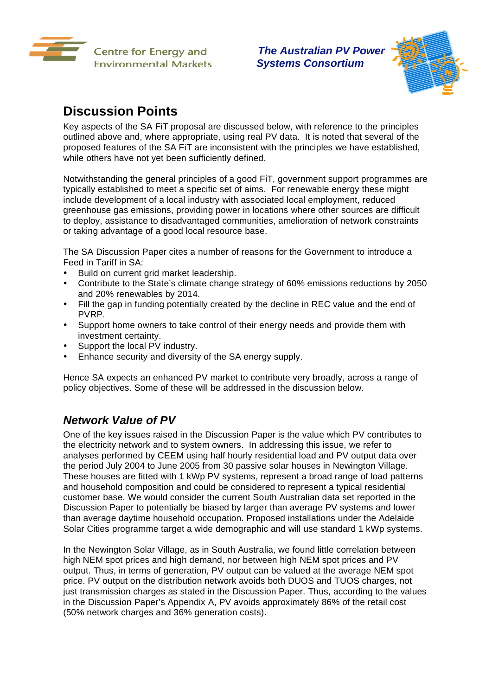



# **Discussion Points**

Key aspects of the SA FiT proposal are discussed below, with reference to the principles outlined above and, where appropriate, using real PV data. It is noted that several of the proposed features of the SA FiT are inconsistent with the principles we have established, while others have not yet been sufficiently defined.

Notwithstanding the general principles of a good FiT, government support programmes are typically established to meet a specific set of aims. For renewable energy these might include development of a local industry with associated local employment, reduced greenhouse gas emissions, providing power in locations where other sources are difficult to deploy, assistance to disadvantaged communities, amelioration of network constraints or taking advantage of a good local resource base.

The SA Discussion Paper cites a number of reasons for the Government to introduce a Feed in Tariff in SA:

- Build on current grid market leadership.
- Contribute to the State's climate change strategy of 60% emissions reductions by 2050 and 20% renewables by 2014.
- Fill the gap in funding potentially created by the decline in REC value and the end of PVRP.
- Support home owners to take control of their energy needs and provide them with investment certainty.
- Support the local PV industry.
- Enhance security and diversity of the SA energy supply.

Hence SA expects an enhanced PV market to contribute very broadly, across a range of policy objectives. Some of these will be addressed in the discussion below.

### *Network Value of PV*

One of the key issues raised in the Discussion Paper is the value which PV contributes to the electricity network and to system owners. In addressing this issue, we refer to analyses performed by CEEM using half hourly residential load and PV output data over the period July 2004 to June 2005 from 30 passive solar houses in Newington Village. These houses are fitted with 1 kWp PV systems, represent a broad range of load patterns and household composition and could be considered to represent a typical residential customer base. We would consider the current South Australian data set reported in the Discussion Paper to potentially be biased by larger than average PV systems and lower than average daytime household occupation. Proposed installations under the Adelaide Solar Cities programme target a wide demographic and will use standard 1 kWp systems.

In the Newington Solar Village, as in South Australia, we found little correlation between high NEM spot prices and high demand, nor between high NEM spot prices and PV output. Thus, in terms of generation, PV output can be valued at the average NEM spot price. PV output on the distribution network avoids both DUOS and TUOS charges, not just transmission charges as stated in the Discussion Paper. Thus, according to the values in the Discussion Paper's Appendix A, PV avoids approximately 86% of the retail cost (50% network charges and 36% generation costs).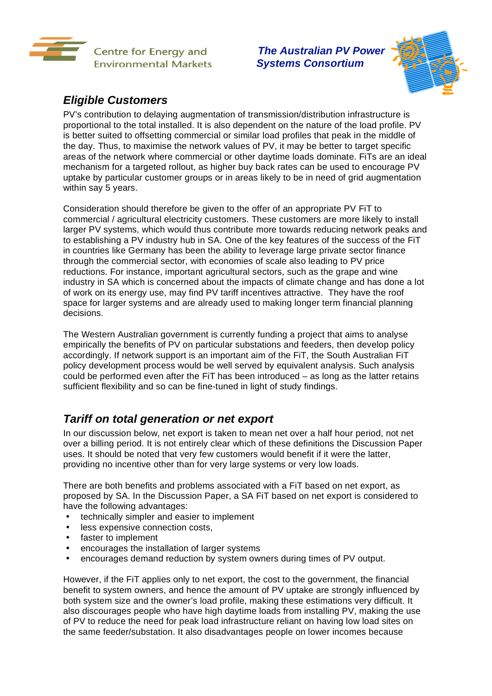



## *Eligible Customers*

PV's contribution to delaying augmentation of transmission/distribution infrastructure is proportional to the total installed. It is also dependent on the nature of the load profile. PV is better suited to offsetting commercial or similar load profiles that peak in the middle of the day. Thus, to maximise the network values of PV, it may be better to target specific areas of the network where commercial or other daytime loads dominate. FiTs are an ideal mechanism for a targeted rollout, as higher buy back rates can be used to encourage PV uptake by particular customer groups or in areas likely to be in need of grid augmentation within say 5 years.

Consideration should therefore be given to the offer of an appropriate PV FiT to commercial / agricultural electricity customers. These customers are more likely to install larger PV systems, which would thus contribute more towards reducing network peaks and to establishing a PV industry hub in SA. One of the key features of the success of the FiT in countries like Germany has been the ability to leverage large private sector finance through the commercial sector, with economies of scale also leading to PV price reductions. For instance, important agricultural sectors, such as the grape and wine industry in SA which is concerned about the impacts of climate change and has done a lot of work on its energy use, may find PV tariff incentives attractive. They have the roof space for larger systems and are already used to making longer term financial planning decisions.

The Western Australian government is currently funding a project that aims to analyse empirically the benefits of PV on particular substations and feeders, then develop policy accordingly. If network support is an important aim of the FiT, the South Australian FiT policy development process would be well served by equivalent analysis. Such analysis could be performed even after the FiT has been introduced – as long as the latter retains sufficient flexibility and so can be fine-tuned in light of study findings.

## *Tariff on total generation or net export*

In our discussion below, net export is taken to mean net over a half hour period, not net over a billing period. It is not entirely clear which of these definitions the Discussion Paper uses. It should be noted that very few customers would benefit if it were the latter, providing no incentive other than for very large systems or very low loads.

There are both benefits and problems associated with a FiT based on net export, as proposed by SA. In the Discussion Paper, a SA FiT based on net export is considered to have the following advantages:

- technically simpler and easier to implement
- less expensive connection costs,
- faster to implement
- encourages the installation of larger systems
- encourages demand reduction by system owners during times of PV output.

However, if the FiT applies only to net export, the cost to the government, the financial benefit to system owners, and hence the amount of PV uptake are strongly influenced by both system size and the owner's load profile, making these estimations very difficult. It also discourages people who have high daytime loads from installing PV, making the use of PV to reduce the need for peak load infrastructure reliant on having low load sites on the same feeder/substation. It also disadvantages people on lower incomes because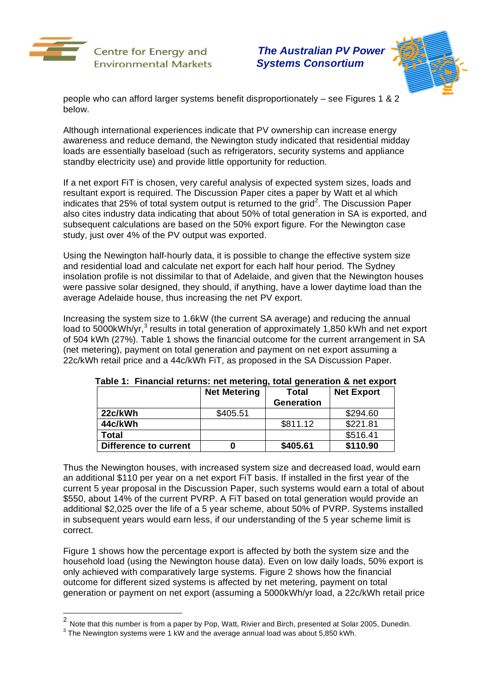

 *The Australian PV Power Systems Consortium*



people who can afford larger systems benefit disproportionately – see Figures 1 & 2 below.

Although international experiences indicate that PV ownership can increase energy awareness and reduce demand, the Newington study indicated that residential midday loads are essentially baseload (such as refrigerators, security systems and appliance standby electricity use) and provide little opportunity for reduction.

If a net export FiT is chosen, very careful analysis of expected system sizes, loads and resultant export is required. The Discussion Paper cites a paper by Watt et al which indicates that 25% of total system output is returned to the grid<sup>2</sup>. The Discussion Paper also cites industry data indicating that about 50% of total generation in SA is exported, and subsequent calculations are based on the 50% export figure. For the Newington case study, just over 4% of the PV output was exported.

Using the Newington half-hourly data, it is possible to change the effective system size and residential load and calculate net export for each half hour period. The Sydney insolation profile is not dissimilar to that of Adelaide, and given that the Newington houses were passive solar designed, they should, if anything, have a lower daytime load than the average Adelaide house, thus increasing the net PV export.

Increasing the system size to 1.6kW (the current SA average) and reducing the annual load to 5000kWh/yr,<sup>3</sup> results in total generation of approximately 1,850 kWh and net export of 504 kWh (27%). Table 1 shows the financial outcome for the current arrangement in SA (net metering), payment on total generation and payment on net export assuming a 22c/kWh retail price and a 44c/kWh FiT, as proposed in the SA Discussion Paper.

|                       | <b>Net Metering</b> | Total             | <b>Net Export</b> |
|-----------------------|---------------------|-------------------|-------------------|
|                       |                     | <b>Generation</b> |                   |
| 22c/kWh               | \$405.51            |                   | \$294.60          |
| 44c/kWh               |                     | \$811.12          | \$221.81          |
| Total                 |                     |                   | \$516.41          |
| Difference to current |                     | \$405.61          | \$110.90          |

**Table 1: Financial returns: net metering, total generation & net export** 

Thus the Newington houses, with increased system size and decreased load, would earn an additional \$110 per year on a net export FiT basis. If installed in the first year of the current 5 year proposal in the Discussion Paper, such systems would earn a total of about \$550, about 14% of the current PVRP. A FiT based on total generation would provide an additional \$2,025 over the life of a 5 year scheme, about 50% of PVRP. Systems installed in subsequent years would earn less, if our understanding of the 5 year scheme limit is correct.

Figure 1 shows how the percentage export is affected by both the system size and the household load (using the Newington house data). Even on low daily loads, 50% export is only achieved with comparatively large systems. Figure 2 shows how the financial outcome for different sized systems is affected by net metering, payment on total generation or payment on net export (assuming a 5000kWh/yr load, a 22c/kWh retail price

1

<sup>&</sup>lt;sup>2</sup> Note that this number is from a paper by Pop, Watt, Rivier and Birch, presented at Solar 2005, Dunedin.  $\frac{3}{2}$  The Newington authors were 4 kW and the average applied was about 5.350 kWh.

 $3$  The Newington systems were 1 kW and the average annual load was about 5,850 kWh.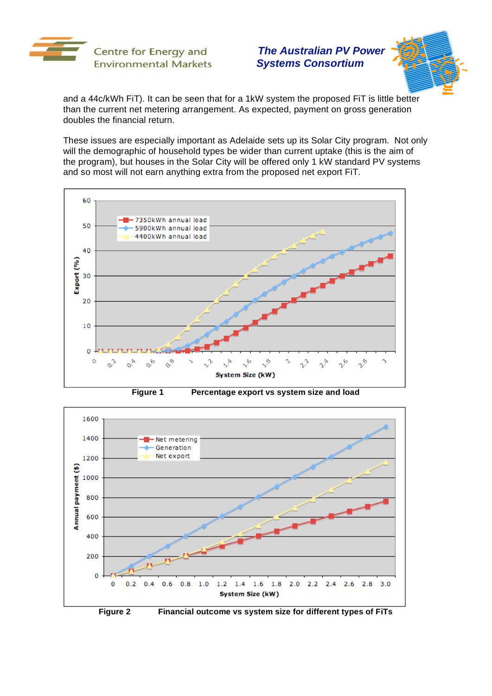



and a 44c/kWh FiT). It can be seen that for a 1kW system the proposed FiT is little better than the current net metering arrangement. As expected, payment on gross generation doubles the financial return.

These issues are especially important as Adelaide sets up its Solar City program. Not only will the demographic of household types be wider than current uptake (this is the aim of the program), but houses in the Solar City will be offered only 1 kW standard PV systems and so most will not earn anything extra from the proposed net export FiT.



**Figure 1 Percentage export vs system size and load** 



**Figure 2 Financial outcome vs system size for different types of FiTs**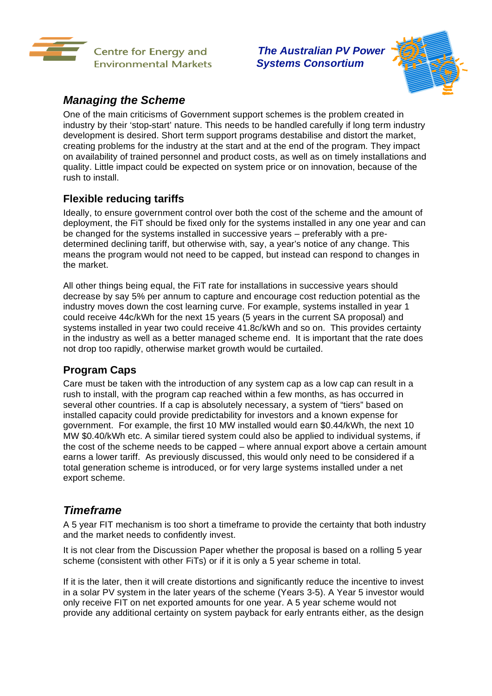



## *Managing the Scheme*

One of the main criticisms of Government support schemes is the problem created in industry by their 'stop-start' nature. This needs to be handled carefully if long term industry development is desired. Short term support programs destabilise and distort the market, creating problems for the industry at the start and at the end of the program. They impact on availability of trained personnel and product costs, as well as on timely installations and quality. Little impact could be expected on system price or on innovation, because of the rush to install.

## **Flexible reducing tariffs**

Ideally, to ensure government control over both the cost of the scheme and the amount of deployment, the FiT should be fixed only for the systems installed in any one year and can be changed for the systems installed in successive years – preferably with a predetermined declining tariff, but otherwise with, say, a year's notice of any change. This means the program would not need to be capped, but instead can respond to changes in the market.

All other things being equal, the FiT rate for installations in successive years should decrease by say 5% per annum to capture and encourage cost reduction potential as the industry moves down the cost learning curve. For example, systems installed in year 1 could receive 44c/kWh for the next 15 years (5 years in the current SA proposal) and systems installed in year two could receive 41.8c/kWh and so on. This provides certainty in the industry as well as a better managed scheme end. It is important that the rate does not drop too rapidly, otherwise market growth would be curtailed.

### **Program Caps**

Care must be taken with the introduction of any system cap as a low cap can result in a rush to install, with the program cap reached within a few months, as has occurred in several other countries. If a cap is absolutely necessary, a system of "tiers" based on installed capacity could provide predictability for investors and a known expense for government. For example, the first 10 MW installed would earn \$0.44/kWh, the next 10 MW \$0.40/kWh etc. A similar tiered system could also be applied to individual systems, if the cost of the scheme needs to be capped – where annual export above a certain amount earns a lower tariff. As previously discussed, this would only need to be considered if a total generation scheme is introduced, or for very large systems installed under a net export scheme.

### *Timeframe*

A 5 year FIT mechanism is too short a timeframe to provide the certainty that both industry and the market needs to confidently invest.

It is not clear from the Discussion Paper whether the proposal is based on a rolling 5 year scheme (consistent with other FiTs) or if it is only a 5 year scheme in total.

If it is the later, then it will create distortions and significantly reduce the incentive to invest in a solar PV system in the later years of the scheme (Years 3-5). A Year 5 investor would only receive FIT on net exported amounts for one year. A 5 year scheme would not provide any additional certainty on system payback for early entrants either, as the design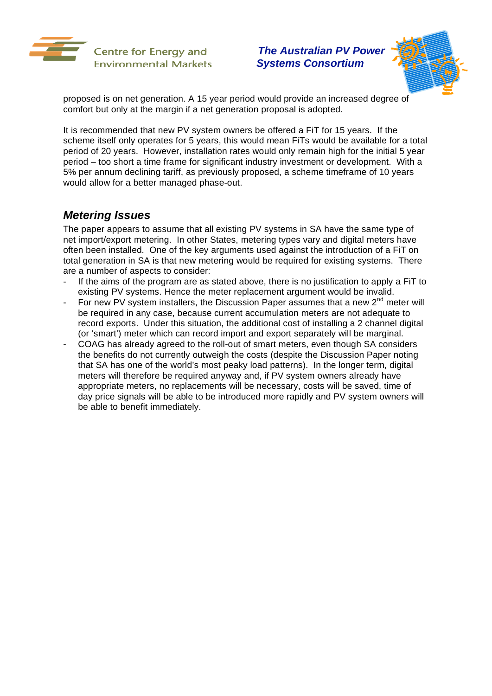



proposed is on net generation. A 15 year period would provide an increased degree of comfort but only at the margin if a net generation proposal is adopted.

It is recommended that new PV system owners be offered a FiT for 15 years. If the scheme itself only operates for 5 years, this would mean FiTs would be available for a total period of 20 years. However, installation rates would only remain high for the initial 5 year period – too short a time frame for significant industry investment or development. With a 5% per annum declining tariff, as previously proposed, a scheme timeframe of 10 years would allow for a better managed phase-out.

### *Metering Issues*

The paper appears to assume that all existing PV systems in SA have the same type of net import/export metering. In other States, metering types vary and digital meters have often been installed. One of the key arguments used against the introduction of a FiT on total generation in SA is that new metering would be required for existing systems. There are a number of aspects to consider:

- If the aims of the program are as stated above, there is no justification to apply a FiT to existing PV systems. Hence the meter replacement argument would be invalid.
- For new PV system installers, the Discussion Paper assumes that a new  $2^{nd}$  meter will be required in any case, because current accumulation meters are not adequate to record exports. Under this situation, the additional cost of installing a 2 channel digital (or 'smart') meter which can record import and export separately will be marginal.
- COAG has already agreed to the roll-out of smart meters, even though SA considers the benefits do not currently outweigh the costs (despite the Discussion Paper noting that SA has one of the world's most peaky load patterns). In the longer term, digital meters will therefore be required anyway and, if PV system owners already have appropriate meters, no replacements will be necessary, costs will be saved, time of day price signals will be able to be introduced more rapidly and PV system owners will be able to benefit immediately.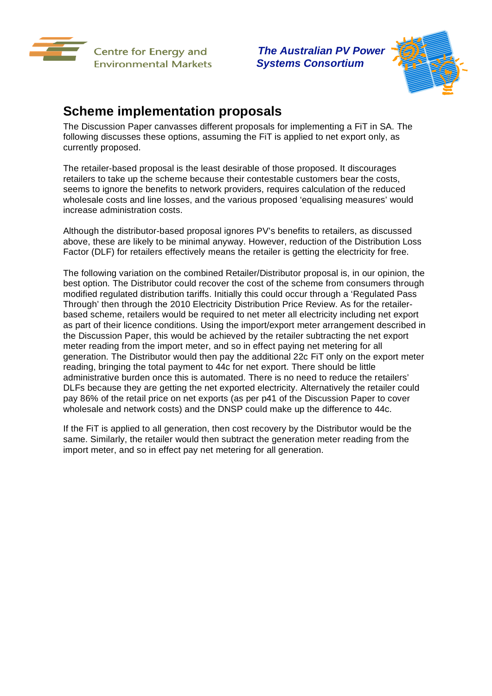



# **Scheme implementation proposals**

The Discussion Paper canvasses different proposals for implementing a FiT in SA. The following discusses these options, assuming the FiT is applied to net export only, as currently proposed.

The retailer-based proposal is the least desirable of those proposed. It discourages retailers to take up the scheme because their contestable customers bear the costs, seems to ignore the benefits to network providers, requires calculation of the reduced wholesale costs and line losses, and the various proposed 'equalising measures' would increase administration costs.

Although the distributor-based proposal ignores PV's benefits to retailers, as discussed above, these are likely to be minimal anyway. However, reduction of the Distribution Loss Factor (DLF) for retailers effectively means the retailer is getting the electricity for free.

The following variation on the combined Retailer/Distributor proposal is, in our opinion, the best option. The Distributor could recover the cost of the scheme from consumers through modified regulated distribution tariffs. Initially this could occur through a 'Regulated Pass Through' then through the 2010 Electricity Distribution Price Review. As for the retailerbased scheme, retailers would be required to net meter all electricity including net export as part of their licence conditions. Using the import/export meter arrangement described in the Discussion Paper, this would be achieved by the retailer subtracting the net export meter reading from the import meter, and so in effect paying net metering for all generation. The Distributor would then pay the additional 22c FiT only on the export meter reading, bringing the total payment to 44c for net export. There should be little administrative burden once this is automated. There is no need to reduce the retailers' DLFs because they are getting the net exported electricity. Alternatively the retailer could pay 86% of the retail price on net exports (as per p41 of the Discussion Paper to cover wholesale and network costs) and the DNSP could make up the difference to 44c.

If the FiT is applied to all generation, then cost recovery by the Distributor would be the same. Similarly, the retailer would then subtract the generation meter reading from the import meter, and so in effect pay net metering for all generation.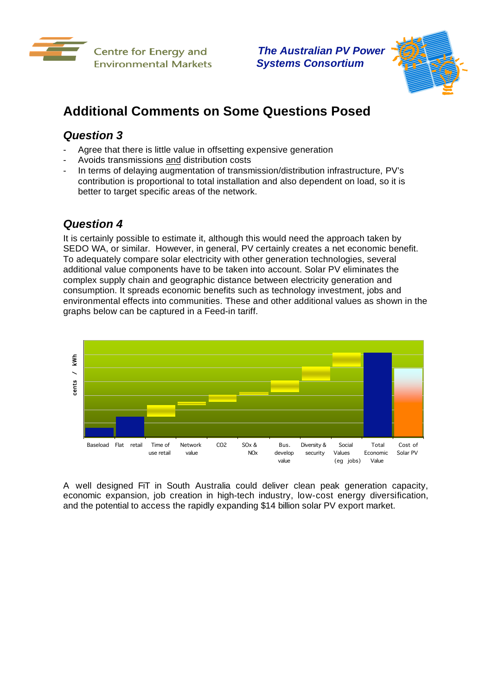



# **Additional Comments on Some Questions Posed**

## *Question 3*

- Agree that there is little value in offsetting expensive generation
- Avoids transmissions and distribution costs
- In terms of delaying augmentation of transmission/distribution infrastructure, PV's contribution is proportional to total installation and also dependent on load, so it is better to target specific areas of the network.

### *Question 4*

It is certainly possible to estimate it, although this would need the approach taken by SEDO WA, or similar. However, in general, PV certainly creates a net economic benefit. To adequately compare solar electricity with other generation technologies, several additional value components have to be taken into account. Solar PV eliminates the complex supply chain and geographic distance between electricity generation and consumption. It spreads economic benefits such as technology investment, jobs and environmental effects into communities. These and other additional values as shown in the graphs below can be captured in a Feed-in tariff.



A well designed FiT in South Australia could deliver clean peak generation capacity, economic expansion, job creation in high-tech industry, low-cost energy diversification, and the potential to access the rapidly expanding \$14 billion solar PV export market.